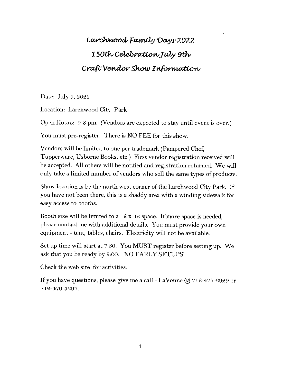## Larchwood Family Days 2022 150th Celebration July 9th Craft Vendor Show Information

Date: July 9, 2022

Location: Larchwood City Park

Open Hours: 9-53 pm. (Vendors are expected to stay until event is over.)

You must pre-register. There is NO FEE for this show.

Vendors will be limited to one per trademark (Pampered Chef, Tupperware, Usborne Books, etc.) First vendor registration received will be accepted. All others will be notified and registration returned. We will only take a limited number of vendors who sell the same types of products.

Show location is be the north west corner of the Larchwood City Park. If you have not been there, this is a shaddy area with a winding sidewalk for easy access to booths.

Booth size will be limited to a  $12 \times 12$  space. If more space is needed, please contact me with additional details. You must provide your own equipment - tent, tables, chairs. Electricity will not be available.

Set up time will start at 7:30. You MUST register before setting up. We ask that you be ready by 9:00. NO EARLY SETUPS!

Check the web site for activities.

If you have questions, please give me a call - LaVonne  $@$  712-477-2929 or 712-470-3297.